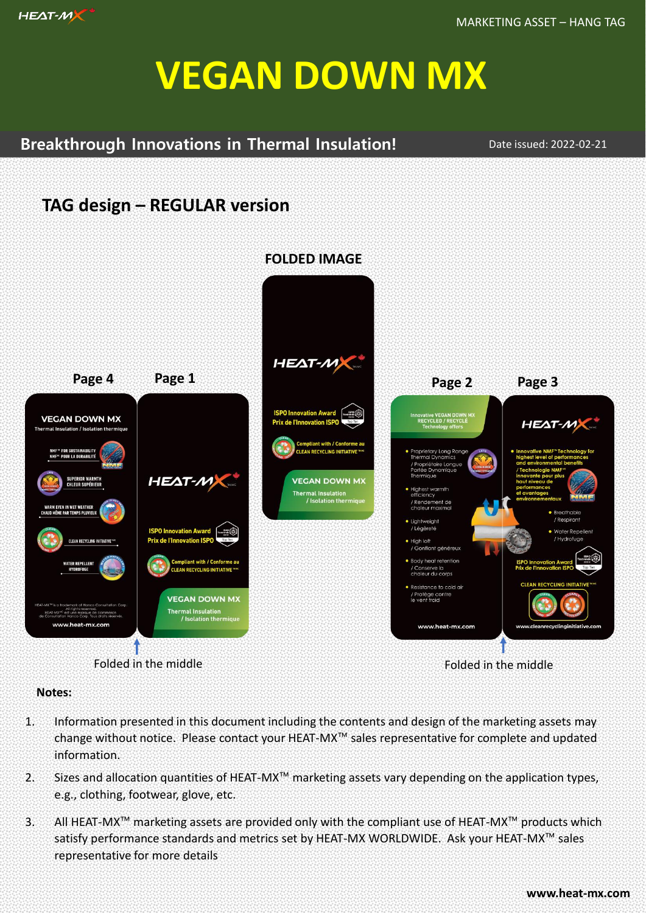

# **VEGAN DOWN MX**

### **Breakthrough Innovations in Thermal Insulation!**

Date issued: 2022-02-21

## **TAG design – REGULAR version**



#### **Notes:**

- 1. Information presented in this document including the contents and design of the marketing assets may change without notice. Please contact your HEAT-MX™ sales representative for complete and updated information.
- 2. Sizes and allocation quantities of HEAT-MX™ marketing assets vary depending on the application types, e.g., clothing, footwear, glove, etc.
- 3. All HEAT-MX™ marketing assets are provided only with the compliant use of HEAT-MX™ products which satisfy performance standards and metrics set by HEAT-MX WORLDWIDE. Ask your HEAT-MX™ sales representative for more details